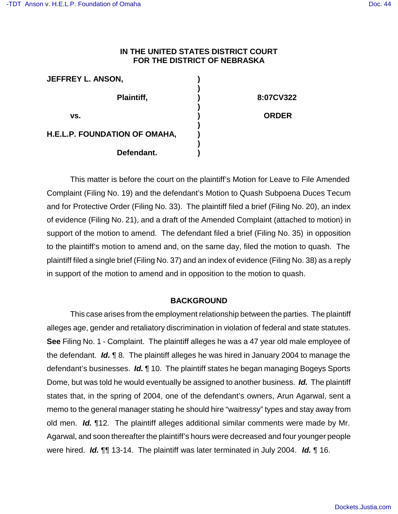# **IN THE UNITED STATES DISTRICT COURT FOR THE DISTRICT OF NEBRASKA**

| <b>JEFFREY L. ANSON,</b>      |              |
|-------------------------------|--------------|
| Plaintiff,                    | 8:07CV322    |
| VS.                           | <b>ORDER</b> |
| H.E.L.P. FOUNDATION OF OMAHA, |              |
| Defendant.                    |              |

This matter is before the court on the plaintiff's Motion for Leave to File Amended Complaint (Filing No. 19) and the defendant's Motion to Quash Subpoena Duces Tecum and for Protective Order (Filing No. 33). The plaintiff filed a brief (Filing No. 20), an index of evidence (Filing No. 21), and a draft of the Amended Complaint (attached to motion) in support of the motion to amend. The defendant filed a brief (Filing No. 35) in opposition to the plaintiff's motion to amend and, on the same day, filed the motion to quash. The plaintiff filed a single brief (Filing No. 37) and an index of evidence (Filing No. 38) as a reply in support of the motion to amend and in opposition to the motion to quash.

# **BACKGROUND**

This case arises from the employment relationship between the parties. The plaintiff alleges age, gender and retaliatory discrimination in violation of federal and state statutes. **See** Filing No. 1 - Complaint. The plaintiff alleges he was a 47 year old male employee of the defendant. *Id.* ¶ 8. The plaintiff alleges he was hired in January 2004 to manage the defendant's businesses. *Id.* ¶ 10. The plaintiff states he began managing Bogeys Sports Dome, but was told he would eventually be assigned to another business. *Id.* The plaintiff states that, in the spring of 2004, one of the defendant's owners, Arun Agarwal, sent a memo to the general manager stating he should hire "waitressy" types and stay away from old men. *Id.* ¶12. The plaintiff alleges additional similar comments were made by Mr. Agarwal, and soon thereafter the plaintiff's hours were decreased and four younger people were hired. *Id.* ¶¶ 13-14. The plaintiff was later terminated in July 2004. *Id.* ¶ 16.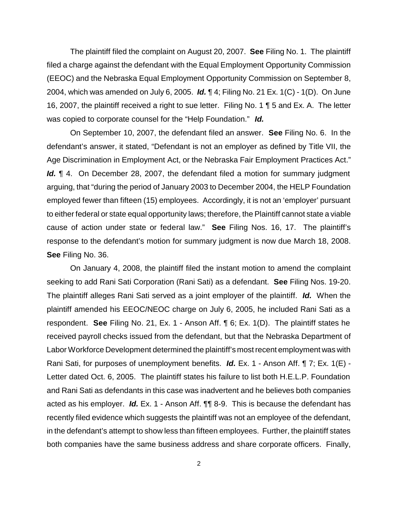The plaintiff filed the complaint on August 20, 2007. **See** Filing No. 1. The plaintiff filed a charge against the defendant with the Equal Employment Opportunity Commission (EEOC) and the Nebraska Equal Employment Opportunity Commission on September 8, 2004, which was amended on July 6, 2005. *Id.* ¶ 4; Filing No. 21 Ex. 1(C) - 1(D). On June 16, 2007, the plaintiff received a right to sue letter. Filing No. 1 ¶ 5 and Ex. A. The letter was copied to corporate counsel for the "Help Foundation." *Id.*

On September 10, 2007, the defendant filed an answer. **See** Filing No. 6. In the defendant's answer, it stated, "Defendant is not an employer as defined by Title VII, the Age Discrimination in Employment Act, or the Nebraska Fair Employment Practices Act." Id. ¶ 4. On December 28, 2007, the defendant filed a motion for summary judgment arguing, that "during the period of January 2003 to December 2004, the HELP Foundation employed fewer than fifteen (15) employees. Accordingly, it is not an 'employer' pursuant to either federal or state equal opportunity laws; therefore, the Plaintiff cannot state a viable cause of action under state or federal law." **See** Filing Nos. 16, 17. The plaintiff's response to the defendant's motion for summary judgment is now due March 18, 2008. **See** Filing No. 36.

On January 4, 2008, the plaintiff filed the instant motion to amend the complaint seeking to add Rani Sati Corporation (Rani Sati) as a defendant. **See** Filing Nos. 19-20. The plaintiff alleges Rani Sati served as a joint employer of the plaintiff. *Id.* When the plaintiff amended his EEOC/NEOC charge on July 6, 2005, he included Rani Sati as a respondent. **See** Filing No. 21, Ex. 1 - Anson Aff. ¶ 6; Ex. 1(D). The plaintiff states he received payroll checks issued from the defendant, but that the Nebraska Department of Labor Workforce Development determined the plaintiff's mostrecent employment was with Rani Sati, for purposes of unemployment benefits. *Id.* Ex. 1 - Anson Aff. ¶ 7; Ex. 1(E) - Letter dated Oct. 6, 2005. The plaintiff states his failure to list both H.E.L.P. Foundation and Rani Sati as defendants in this case was inadvertent and he believes both companies acted as his employer. *Id.* Ex. 1 - Anson Aff. ¶¶ 8-9. This is because the defendant has recently filed evidence which suggests the plaintiff was not an employee of the defendant, in the defendant's attempt to show less than fifteen employees. Further, the plaintiff states both companies have the same business address and share corporate officers. Finally,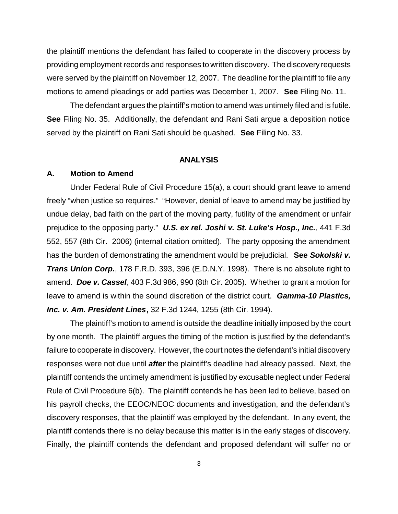the plaintiff mentions the defendant has failed to cooperate in the discovery process by providing employment records and responses to written discovery. The discovery requests were served by the plaintiff on November 12, 2007. The deadline for the plaintiff to file any motions to amend pleadings or add parties was December 1, 2007. **See** Filing No. 11.

The defendant argues the plaintiff's motion to amend was untimely filed and is futile. **See** Filing No. 35. Additionally, the defendant and Rani Sati argue a deposition notice served by the plaintiff on Rani Sati should be quashed. **See** Filing No. 33.

#### **ANALYSIS**

### **A. Motion to Amend**

Under Federal Rule of Civil Procedure 15(a), a court should grant leave to amend freely "when justice so requires." "However, denial of leave to amend may be justified by undue delay, bad faith on the part of the moving party, futility of the amendment or unfair prejudice to the opposing party." *U.S. ex rel. Joshi v. St. Luke's Hosp., Inc.*, 441 F.3d 552, 557 (8th Cir. 2006) (internal citation omitted). The party opposing the amendment has the burden of demonstrating the amendment would be prejudicial. **See** *Sokolski v. Trans Union Corp.*, 178 F.R.D. 393, 396 (E.D.N.Y. 1998). There is no absolute right to amend. *Doe v. Cassel*, 403 F.3d 986, 990 (8th Cir. 2005). Whether to grant a motion for leave to amend is within the sound discretion of the district court. *Gamma-10 Plastics, Inc. v. Am. President Lines***,** 32 F.3d 1244, 1255 (8th Cir. 1994).

The plaintiff's motion to amend is outside the deadline initially imposed by the court by one month. The plaintiff argues the timing of the motion is justified by the defendant's failure to cooperate in discovery. However, the court notes the defendant's initial discovery responses were not due until *after* the plaintiff's deadline had already passed. Next, the plaintiff contends the untimely amendment is justified by excusable neglect under Federal Rule of Civil Procedure 6(b). The plaintiff contends he has been led to believe, based on his payroll checks, the EEOC/NEOC documents and investigation, and the defendant's discovery responses, that the plaintiff was employed by the defendant. In any event, the plaintiff contends there is no delay because this matter is in the early stages of discovery. Finally, the plaintiff contends the defendant and proposed defendant will suffer no or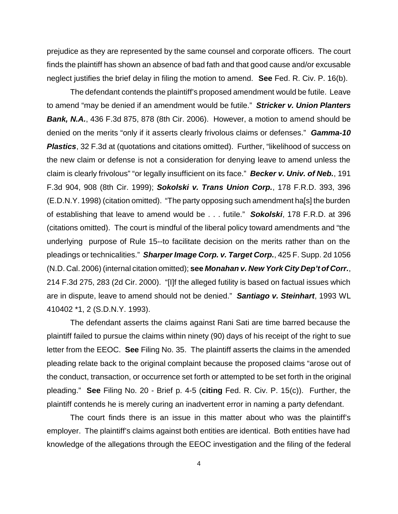prejudice as they are represented by the same counsel and corporate officers. The court finds the plaintiff has shown an absence of bad fath and that good cause and/or excusable neglect justifies the brief delay in filing the motion to amend. **See** Fed. R. Civ. P. 16(b).

The defendant contends the plaintiff's proposed amendment would be futile. Leave to amend "may be denied if an amendment would be futile." *Stricker v. Union Planters Bank, N.A.*, 436 F.3d 875, 878 (8th Cir. 2006). However, a motion to amend should be denied on the merits "only if it asserts clearly frivolous claims or defenses." *Gamma-10* **Plastics**, 32 F.3d at (quotations and citations omitted). Further, "likelihood of success on the new claim or defense is not a consideration for denying leave to amend unless the claim is clearly frivolous" "or legally insufficient on its face." *Becker v. Univ. of Neb.*, 191 F.3d 904, 908 (8th Cir. 1999); *Sokolski v. Trans Union Corp.*, 178 F.R.D. 393, 396 (E.D.N.Y. 1998) (citation omitted). "The party opposing such amendment ha[s] the burden of establishing that leave to amend would be . . . futile." *Sokolski*, 178 F.R.D. at 396 (citations omitted). The court is mindful of the liberal policy toward amendments and "the underlying purpose of Rule 15--to facilitate decision on the merits rather than on the pleadings or technicalities." *Sharper Image Corp. v. Target Corp.*, 425 F. Supp. 2d 1056 (N.D. Cal. 2006) (internal citation omitted); **see** *Monahan v. New York City Dep't of Corr.*, 214 F.3d 275, 283 (2d Cir. 2000). "[I]f the alleged futility is based on factual issues which are in dispute, leave to amend should not be denied." *Santiago v. Steinhart*, 1993 WL 410402 \*1, 2 (S.D.N.Y. 1993).

The defendant asserts the claims against Rani Sati are time barred because the plaintiff failed to pursue the claims within ninety (90) days of his receipt of the right to sue letter from the EEOC. **See** Filing No. 35. The plaintiff asserts the claims in the amended pleading relate back to the original complaint because the proposed claims "arose out of the conduct, transaction, or occurrence set forth or attempted to be set forth in the original pleading." **See** Filing No. 20 - Brief p. 4-5 (**citing** Fed. R. Civ. P. 15(c)). Further, the plaintiff contends he is merely curing an inadvertent error in naming a party defendant.

The court finds there is an issue in this matter about who was the plaintiff's employer. The plaintiff's claims against both entities are identical. Both entities have had knowledge of the allegations through the EEOC investigation and the filing of the federal